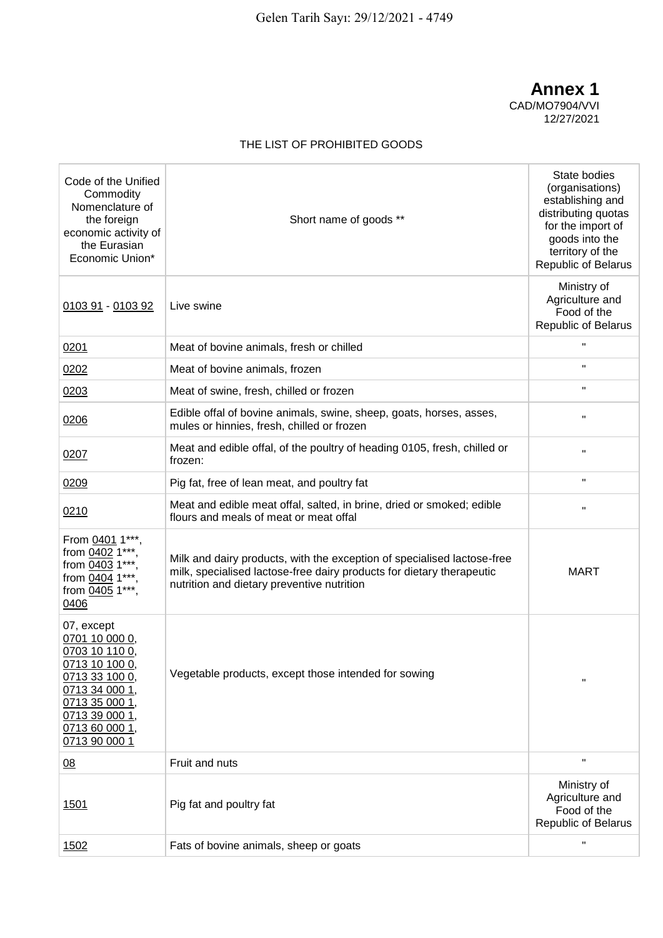**Annex 1** CAD/MO7904/VVI 12/27/2021

## THE LIST OF PROHIBITED GOODS

| Code of the Unified<br>Commodity<br>Nomenclature of<br>the foreign<br>economic activity of<br>the Eurasian<br>Economic Union*                                               | Short name of goods **                                                                                                                                                                         | State bodies<br>(organisations)<br>establishing and<br>distributing quotas<br>for the import of<br>goods into the<br>territory of the<br>Republic of Belarus |
|-----------------------------------------------------------------------------------------------------------------------------------------------------------------------------|------------------------------------------------------------------------------------------------------------------------------------------------------------------------------------------------|--------------------------------------------------------------------------------------------------------------------------------------------------------------|
| 0103 91 - 0103 92                                                                                                                                                           | Live swine                                                                                                                                                                                     | Ministry of<br>Agriculture and<br>Food of the<br>Republic of Belarus                                                                                         |
| 0201                                                                                                                                                                        | Meat of bovine animals, fresh or chilled                                                                                                                                                       | $\mathbf{u}$                                                                                                                                                 |
| 0202                                                                                                                                                                        | Meat of bovine animals, frozen                                                                                                                                                                 | H.                                                                                                                                                           |
| 0203                                                                                                                                                                        | Meat of swine, fresh, chilled or frozen                                                                                                                                                        | H.                                                                                                                                                           |
| 0206                                                                                                                                                                        | Edible offal of bovine animals, swine, sheep, goats, horses, asses,<br>mules or hinnies, fresh, chilled or frozen                                                                              | Ħ                                                                                                                                                            |
| 0207                                                                                                                                                                        | Meat and edible offal, of the poultry of heading 0105, fresh, chilled or<br>frozen:                                                                                                            | Ħ                                                                                                                                                            |
| 0209                                                                                                                                                                        | Pig fat, free of lean meat, and poultry fat                                                                                                                                                    | Ħ                                                                                                                                                            |
| 0210                                                                                                                                                                        | Meat and edible meat offal, salted, in brine, dried or smoked; edible<br>flours and meals of meat or meat offal                                                                                | Ħ                                                                                                                                                            |
| From 0401 1***<br>from 0402 1***<br>from 0403 1***<br>from 0404 1***<br>from 0405 1***,<br>0406                                                                             | Milk and dairy products, with the exception of specialised lactose-free<br>milk, specialised lactose-free dairy products for dietary therapeutic<br>nutrition and dietary preventive nutrition | <b>MART</b>                                                                                                                                                  |
| 07, except<br>0701 10 000 0,<br>0703 10 110 0,<br>0713 10 100 0,<br>0713 33 100 0,<br>0713 34 000 1,<br>0713 35 000 1,<br>0713 39 000 1,<br>0713 60 000 1,<br>0713 90 000 1 | Vegetable products, except those intended for sowing                                                                                                                                           | Ħ                                                                                                                                                            |
| 08                                                                                                                                                                          | Fruit and nuts                                                                                                                                                                                 | Ħ                                                                                                                                                            |
| <u>1501</u>                                                                                                                                                                 | Pig fat and poultry fat                                                                                                                                                                        | Ministry of<br>Agriculture and<br>Food of the<br>Republic of Belarus                                                                                         |
| 1502                                                                                                                                                                        | Fats of bovine animals, sheep or goats                                                                                                                                                         | $\blacksquare$                                                                                                                                               |